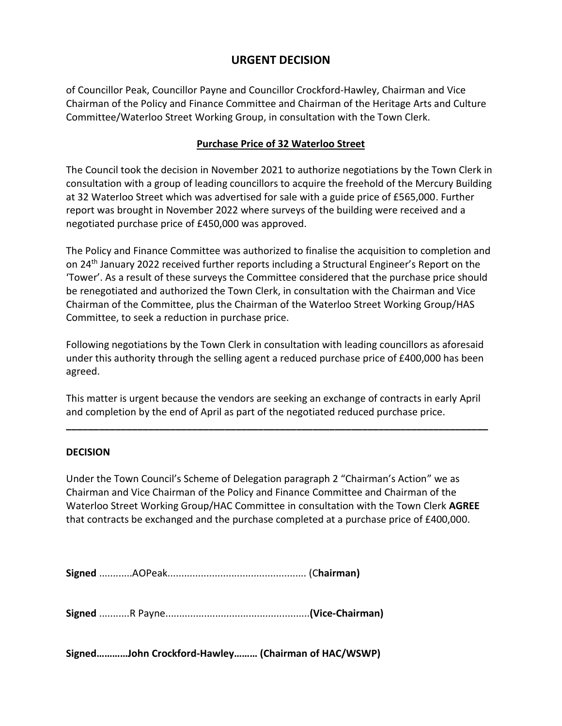## **URGENT DECISION**

of Councillor Peak, Councillor Payne and Councillor Crockford-Hawley, Chairman and Vice Chairman of the Policy and Finance Committee and Chairman of the Heritage Arts and Culture Committee/Waterloo Street Working Group, in consultation with the Town Clerk.

## **Purchase Price of 32 Waterloo Street**

The Council took the decision in November 2021 to authorize negotiations by the Town Clerk in consultation with a group of leading councillors to acquire the freehold of the Mercury Building at 32 Waterloo Street which was advertised for sale with a guide price of £565,000. Further report was brought in November 2022 where surveys of the building were received and a negotiated purchase price of £450,000 was approved.

The Policy and Finance Committee was authorized to finalise the acquisition to completion and on 24th January 2022 received further reports including a Structural Engineer's Report on the 'Tower'. As a result of these surveys the Committee considered that the purchase price should be renegotiated and authorized the Town Clerk, in consultation with the Chairman and Vice Chairman of the Committee, plus the Chairman of the Waterloo Street Working Group/HAS Committee, to seek a reduction in purchase price.

Following negotiations by the Town Clerk in consultation with leading councillors as aforesaid under this authority through the selling agent a reduced purchase price of £400,000 has been agreed.

This matter is urgent because the vendors are seeking an exchange of contracts in early April and completion by the end of April as part of the negotiated reduced purchase price.

**\_\_\_\_\_\_\_\_\_\_\_\_\_\_\_\_\_\_\_\_\_\_\_\_\_\_\_\_\_\_\_\_\_\_\_\_\_\_\_\_\_\_\_\_\_\_\_\_\_\_\_\_\_\_\_\_\_\_\_\_\_\_\_\_\_\_\_\_\_\_\_\_\_\_\_\_\_**

## **DECISION**

Under the Town Council's Scheme of Delegation paragraph 2 "Chairman's Action" we as Chairman and Vice Chairman of the Policy and Finance Committee and Chairman of the Waterloo Street Working Group/HAC Committee in consultation with the Town Clerk **AGREE**  that contracts be exchanged and the purchase completed at a purchase price of £400,000.

**Signed** ............AOPeak.................................................. (C**hairman)**

**Signed** ...........R Payne....................................................**(Vice-Chairman)**

**Signed…………John Crockford-Hawley……… (Chairman of HAC/WSWP)**